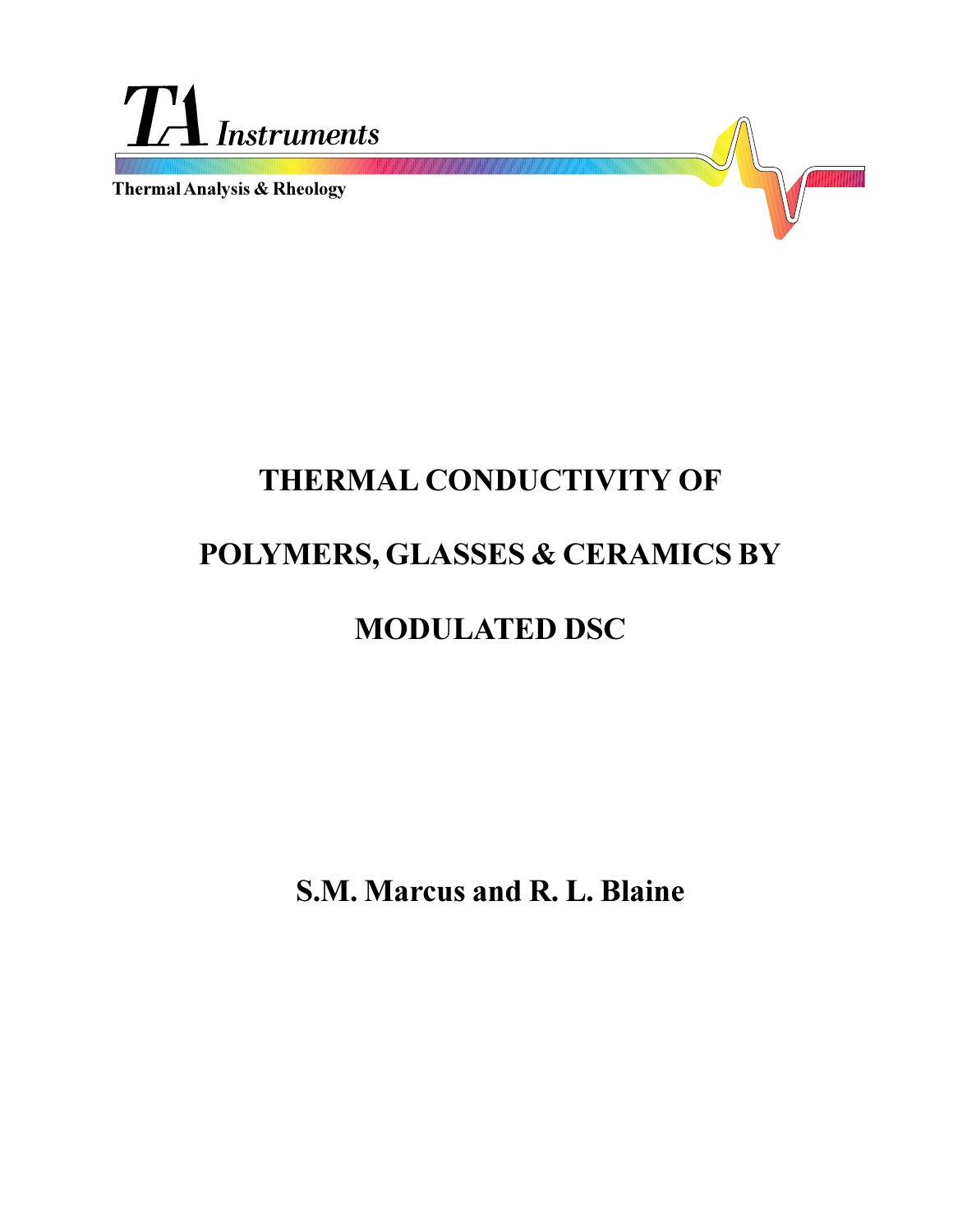

**Thermal Analysis & Rheology**



# **THERMAL CONDUCTIVITY OF POLYMERS, GLASSES & CERAMICS BY MODULATED DSC**

**S.M. Marcus and R. L. Blaine**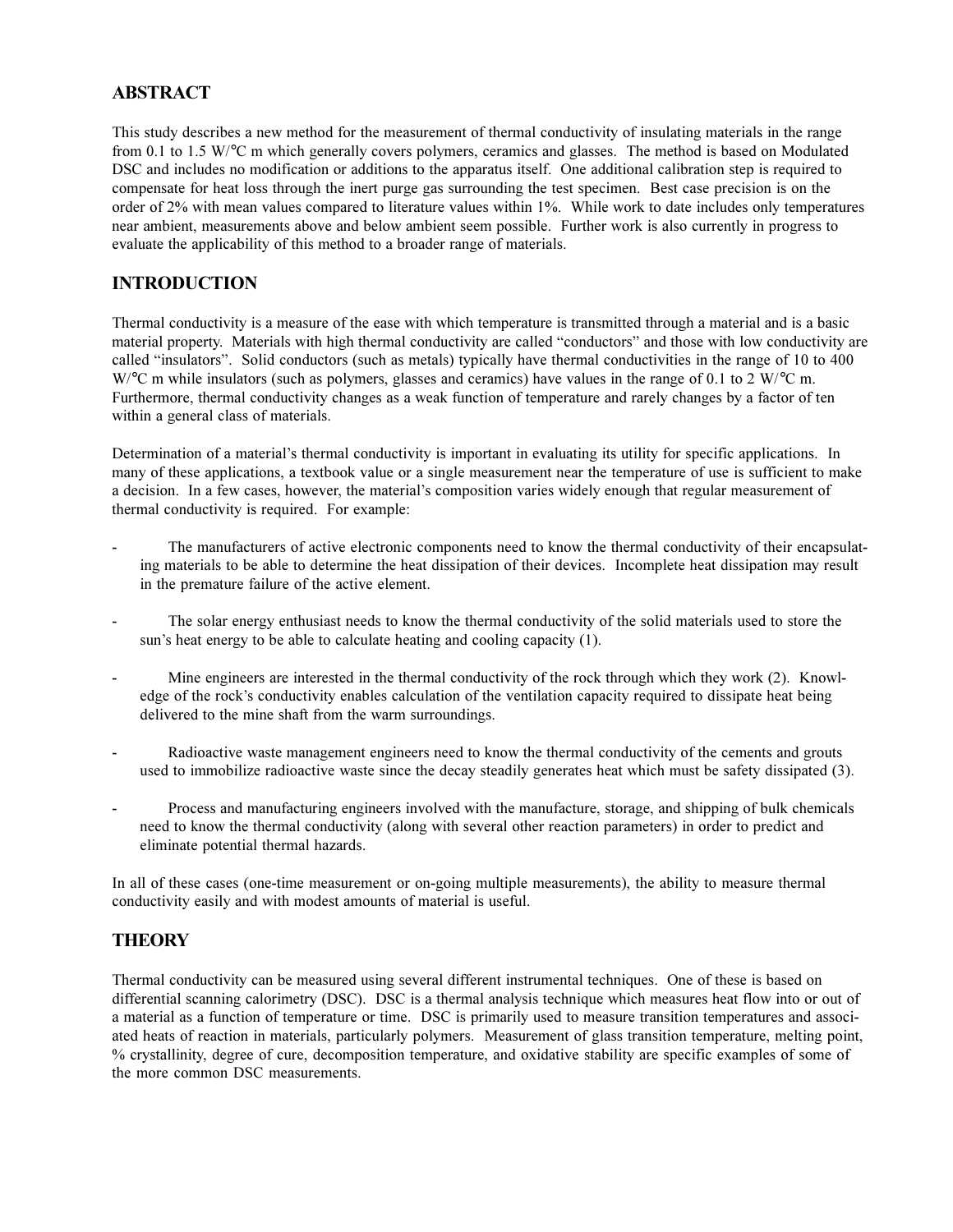## **ABSTRACT**

This study describes a new method for the measurement of thermal conductivity of insulating materials in the range from 0.1 to 1.5 W/°C m which generally covers polymers, ceramics and glasses. The method is based on Modulated DSC and includes no modification or additions to the apparatus itself. One additional calibration step is required to compensate for heat loss through the inert purge gas surrounding the test specimen. Best case precision is on the order of 2% with mean values compared to literature values within 1%. While work to date includes only temperatures near ambient, measurements above and below ambient seem possible. Further work is also currently in progress to evaluate the applicability of this method to a broader range of materials.

### **INTRODUCTION**

Thermal conductivity is a measure of the ease with which temperature is transmitted through a material and is a basic material property. Materials with high thermal conductivity are called "conductors" and those with low conductivity are called "insulators". Solid conductors (such as metals) typically have thermal conductivities in the range of 10 to 400 W/°C m while insulators (such as polymers, glasses and ceramics) have values in the range of 0.1 to 2 W/°C m. Furthermore, thermal conductivity changes as a weak function of temperature and rarely changes by a factor of ten within a general class of materials.

Determination of a material's thermal conductivity is important in evaluating its utility for specific applications. In many of these applications, a textbook value or a single measurement near the temperature of use is sufficient to make a decision. In a few cases, however, the material's composition varies widely enough that regular measurement of thermal conductivity is required. For example:

- The manufacturers of active electronic components need to know the thermal conductivity of their encapsulating materials to be able to determine the heat dissipation of their devices. Incomplete heat dissipation may result in the premature failure of the active element.
- The solar energy enthusiast needs to know the thermal conductivity of the solid materials used to store the sun's heat energy to be able to calculate heating and cooling capacity  $(1)$ .
- Mine engineers are interested in the thermal conductivity of the rock through which they work (2). Knowledge of the rock's conductivity enables calculation of the ventilation capacity required to dissipate heat being delivered to the mine shaft from the warm surroundings.
- Radioactive waste management engineers need to know the thermal conductivity of the cements and grouts used to immobilize radioactive waste since the decay steadily generates heat which must be safety dissipated (3).
- Process and manufacturing engineers involved with the manufacture, storage, and shipping of bulk chemicals need to know the thermal conductivity (along with several other reaction parameters) in order to predict and eliminate potential thermal hazards.

In all of these cases (one-time measurement or on-going multiple measurements), the ability to measure thermal conductivity easily and with modest amounts of material is useful.

### **THEORY**

Thermal conductivity can be measured using several different instrumental techniques. One of these is based on differential scanning calorimetry (DSC). DSC is a thermal analysis technique which measures heat flow into or out of a material as a function of temperature or time. DSC is primarily used to measure transition temperatures and associated heats of reaction in materials, particularly polymers. Measurement of glass transition temperature, melting point, % crystallinity, degree of cure, decomposition temperature, and oxidative stability are specific examples of some of the more common DSC measurements.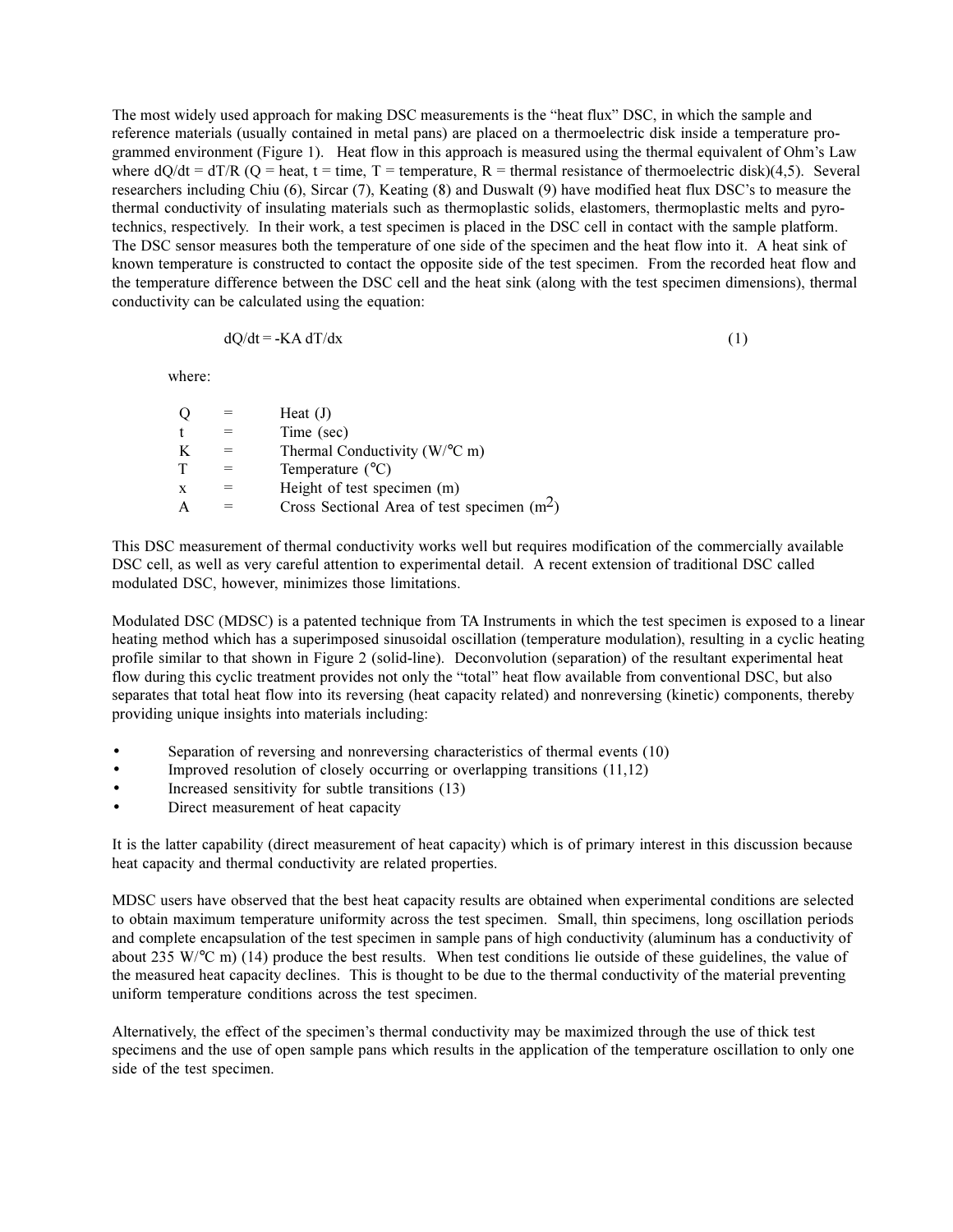The most widely used approach for making DSC measurements is the "heat flux" DSC, in which the sample and reference materials (usually contained in metal pans) are placed on a thermoelectric disk inside a temperature programmed environment (Figure 1). Heat flow in this approach is measured using the thermal equivalent of Ohm's Law where  $dQ/dt = dT/R$  ( $Q = heat$ ,  $t = time$ ,  $T = temperature$ ,  $R = thermal resistance$  of thermoelectric disk)(4,5). Several researchers including Chiu  $(6)$ , Sircar  $(7)$ , Keating  $(8)$  and Duswalt  $(9)$  have modified heat flux DSC's to measure the thermal conductivity of insulating materials such as thermoplastic solids, elastomers, thermoplastic melts and pyrotechnics, respectively. In their work, a test specimen is placed in the DSC cell in contact with the sample platform. The DSC sensor measures both the temperature of one side of the specimen and the heat flow into it. A heat sink of known temperature is constructed to contact the opposite side of the test specimen. From the recorded heat flow and the temperature difference between the DSC cell and the heat sink (along with the test specimen dimensions), thermal conductivity can be calculated using the equation:

$$
dQ/dt = -KA \, dT/dx \tag{1}
$$

where:

|   | Heat $(J)$                                   |
|---|----------------------------------------------|
|   | Time (sec)                                   |
| K | Thermal Conductivity ( $W$ <sup>o</sup> C m) |
|   | Temperature $(^{\circ}C)$                    |
| X | Height of test specimen (m)                  |
|   | Cross Sectional Area of test specimen $(m2)$ |

This DSC measurement of thermal conductivity works well but requires modification of the commercially available DSC cell, as well as very careful attention to experimental detail. A recent extension of traditional DSC called modulated DSC, however, minimizes those limitations.

Modulated DSC (MDSC) is a patented technique from TA Instruments in which the test specimen is exposed to a linear heating method which has a superimposed sinusoidal oscillation (temperature modulation), resulting in a cyclic heating profile similar to that shown in Figure 2 (solid-line). Deconvolution (separation) of the resultant experimental heat flow during this cyclic treatment provides not only the "total" heat flow available from conventional DSC, but also separates that total heat flow into its reversing (heat capacity related) and nonreversing (kinetic) components, thereby providing unique insights into materials including:

- Separation of reversing and nonreversing characteristics of thermal events (10)
- Improved resolution of closely occurring or overlapping transitions (11,12)
- Increased sensitivity for subtle transitions (13)
- Direct measurement of heat capacity

It is the latter capability (direct measurement of heat capacity) which is of primary interest in this discussion because heat capacity and thermal conductivity are related properties.

MDSC users have observed that the best heat capacity results are obtained when experimental conditions are selected to obtain maximum temperature uniformity across the test specimen. Small, thin specimens, long oscillation periods and complete encapsulation of the test specimen in sample pans of high conductivity (aluminum has a conductivity of about 235 W/°C m) (14) produce the best results. When test conditions lie outside of these guidelines, the value of the measured heat capacity declines. This is thought to be due to the thermal conductivity of the material preventing uniform temperature conditions across the test specimen.

Alternatively, the effect of the specimen's thermal conductivity may be maximized through the use of thick test specimens and the use of open sample pans which results in the application of the temperature oscillation to only one side of the test specimen.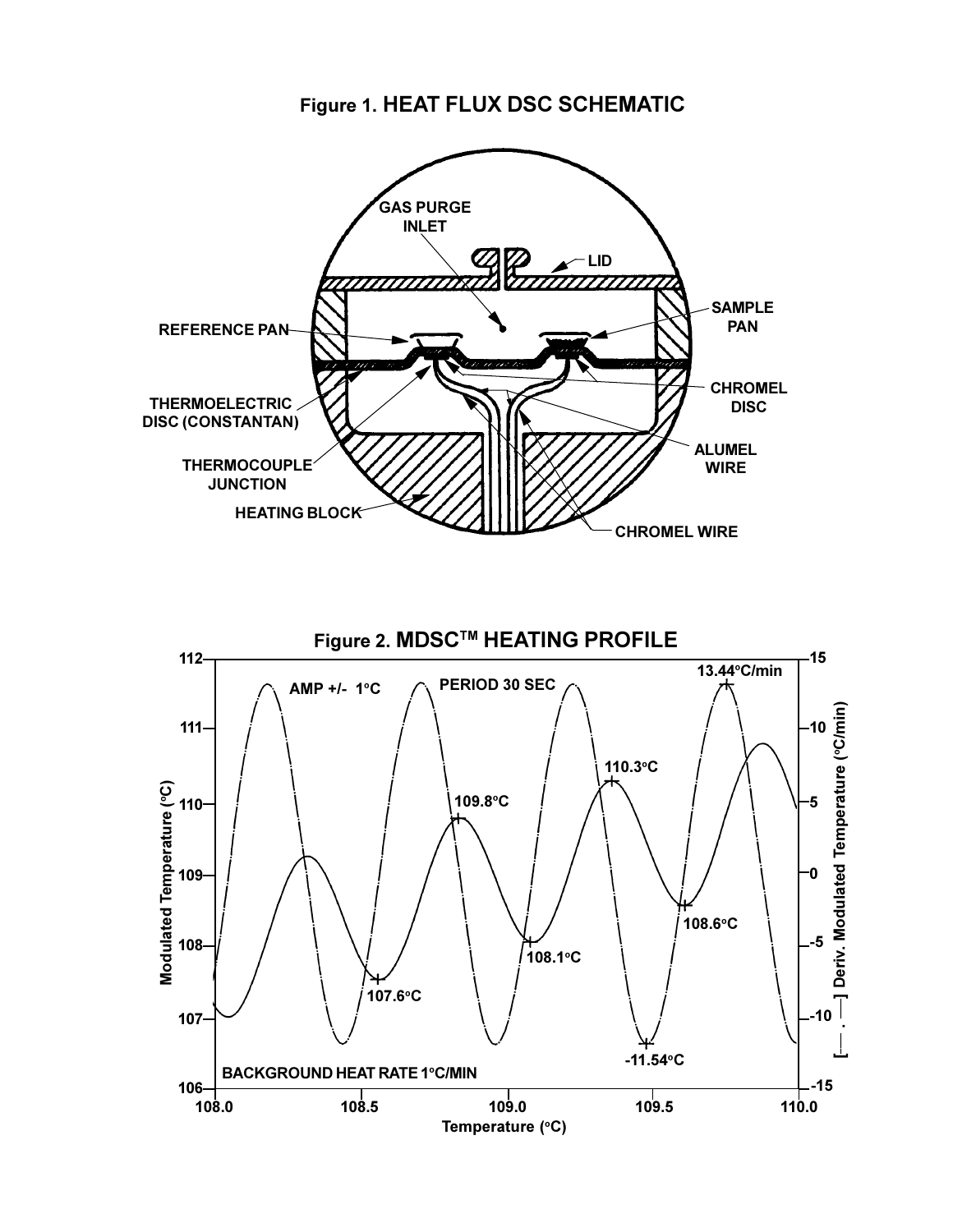**Figure 1. HEAT FLUX DSC SCHEMATIC**



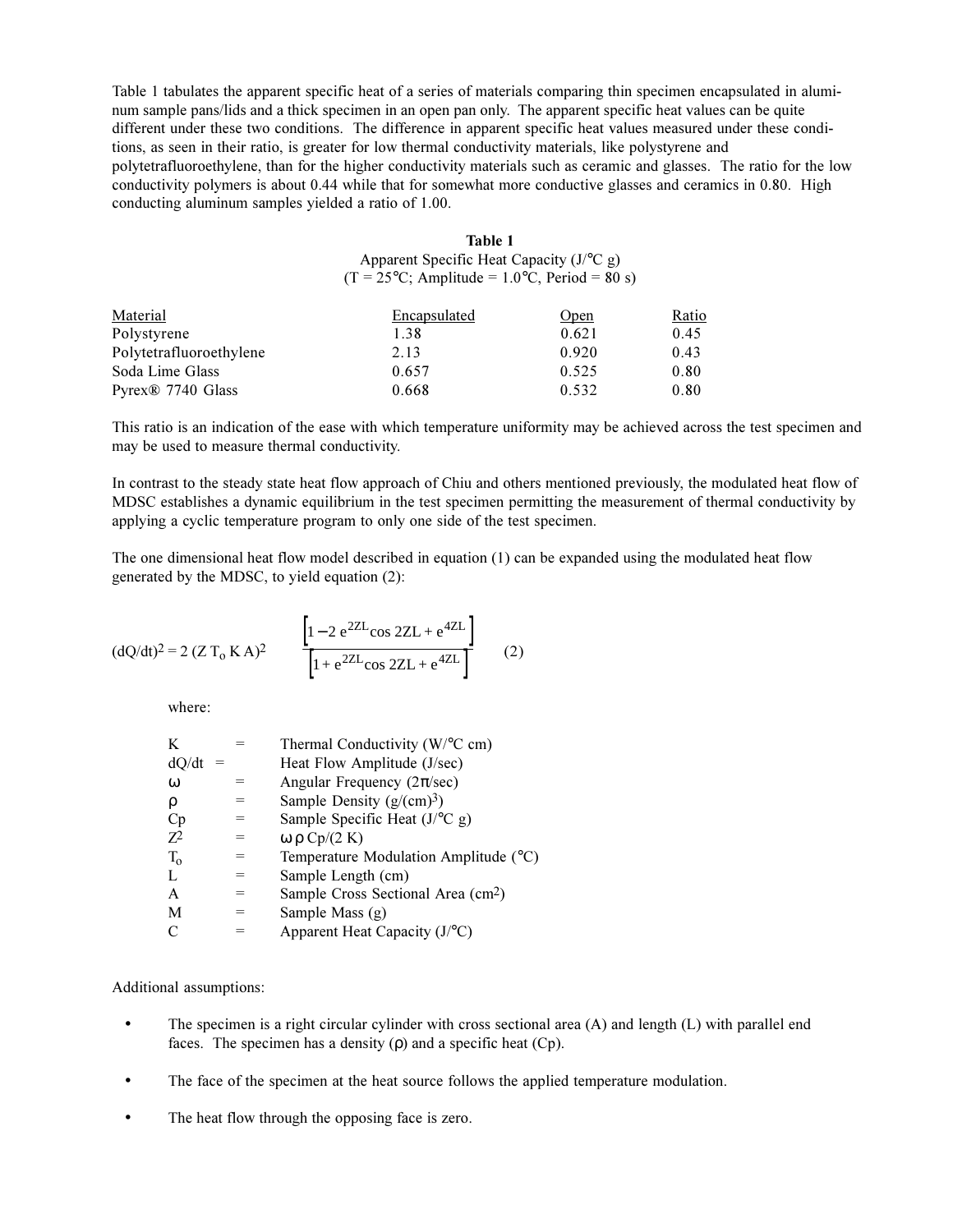Table 1 tabulates the apparent specific heat of a series of materials comparing thin specimen encapsulated in aluminum sample pans/lids and a thick specimen in an open pan only. The apparent specific heat values can be quite different under these two conditions. The difference in apparent specific heat values measured under these conditions, as seen in their ratio, is greater for low thermal conductivity materials, like polystyrene and polytetrafluoroethylene, than for the higher conductivity materials such as ceramic and glasses. The ratio for the low conductivity polymers is about 0.44 while that for somewhat more conductive glasses and ceramics in 0.80. High conducting aluminum samples yielded a ratio of 1.00.

| Table 1                                                |
|--------------------------------------------------------|
| Apparent Specific Heat Capacity $(J^{\circ}C g)$       |
| $(T = 25^{\circ}C$ ; Amplitude = 1.0°C, Period = 80 s) |

| Material                      | Encapsulated | Open  | <u>Ratio</u> |
|-------------------------------|--------------|-------|--------------|
| Polystyrene                   | 1.38         | 0.621 | 0.45         |
| Polytetrafluoroethylene       | 2.13         | 0.920 | 0.43         |
| Soda Lime Glass               | 0.657        | 0.525 | 0.80         |
| Pyrex <sup>®</sup> 7740 Glass | 0.668        | 0.532 | 0.80         |

This ratio is an indication of the ease with which temperature uniformity may be achieved across the test specimen and may be used to measure thermal conductivity.

In contrast to the steady state heat flow approach of Chiu and others mentioned previously, the modulated heat flow of MDSC establishes a dynamic equilibrium in the test specimen permitting the measurement of thermal conductivity by applying a cyclic temperature program to only one side of the test specimen.

The one dimensional heat flow model described in equation (1) can be expanded using the modulated heat flow generated by the MDSC, to yield equation (2):

$$
(\text{d}Q/\text{d}t)^2 = 2 (Z T_0 K A)^2 \qquad \frac{\left[1 - 2 e^{2ZL} \cos 2ZL + e^{4ZL}\right]}{\left[1 + e^{2ZL} \cos 2ZL + e^{4ZL}\right]}
$$
(2)

where:

|   | Thermal Conductivity (W/°C cm)                 |
|---|------------------------------------------------|
|   | Heat Flow Amplitude (J/sec)                    |
|   | Angular Frequency ( $2\pi/\text{sec}$ )        |
|   | Sample Density $(g/(cm)^3)$                    |
|   | Sample Specific Heat $(JoC g)$                 |
|   | $ω$ ρ Cp/(2 K)                                 |
|   | Temperature Modulation Amplitude (°C)          |
| = | Sample Length (cm)                             |
| = | Sample Cross Sectional Area (cm <sup>2</sup> ) |
|   | Sample Mass (g)                                |
|   | Apparent Heat Capacity $(JoC)$                 |
|   |                                                |

Additional assumptions:

- The specimen is a right circular cylinder with cross sectional area (A) and length (L) with parallel end faces. The specimen has a density  $(\rho)$  and a specific heat  $(Cp)$ .
- The face of the specimen at the heat source follows the applied temperature modulation.
- The heat flow through the opposing face is zero.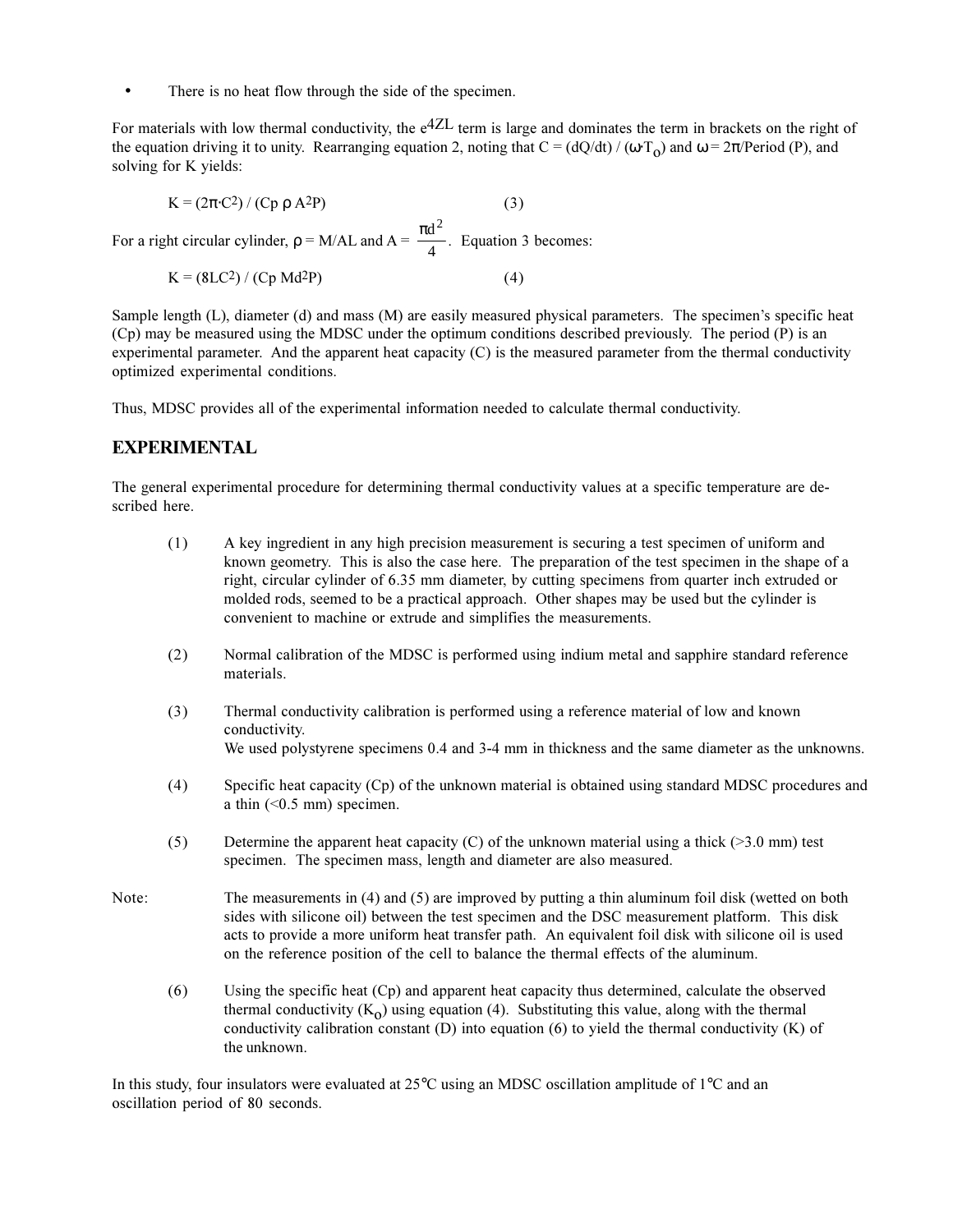There is no heat flow through the side of the specimen.

For materials with low thermal conductivity, the  $e^{4ZL}$  term is large and dominates the term in brackets on the right of the equation driving it to unity. Rearranging equation 2, noting that  $C = (dQ/dt) / (\omega T_0)$  and  $\omega = 2\pi/Period$  (P), and solving for K yields:

 $K = (2\pi \cdot C^2) / (Cp \rho A^2P)$  (3) For a right circular cylinder,  $\rho = M/AL$  and  $A = \frac{\pi d^2}{4}$ . Equation 3 becomes: 4 2

$$
K = (8LC2) / (Cp Md2P)
$$
 (4)

Sample length  $(L)$ , diameter  $(d)$  and mass  $(M)$  are easily measured physical parameters. The specimen's specific heat (Cp) may be measured using the MDSC under the optimum conditions described previously. The period (P) is an experimental parameter. And the apparent heat capacity (C) is the measured parameter from the thermal conductivity optimized experimental conditions.

Thus, MDSC provides all of the experimental information needed to calculate thermal conductivity.

#### **EXPERIMENTAL**

The general experimental procedure for determining thermal conductivity values at a specific temperature are described here.

- (1) A key ingredient in any high precision measurement is securing a test specimen of uniform and known geometry. This is also the case here. The preparation of the test specimen in the shape of a right, circular cylinder of 6.35 mm diameter, by cutting specimens from quarter inch extruded or molded rods, seemed to be a practical approach. Other shapes may be used but the cylinder is convenient to machine or extrude and simplifies the measurements.
- (2) Normal calibration of the MDSC is performed using indium metal and sapphire standard reference materials.
- (3) Thermal conductivity calibration is performed using a reference material of low and known conductivity. We used polystyrene specimens 0.4 and 3-4 mm in thickness and the same diameter as the unknowns.
- (4) Specific heat capacity (Cp) of the unknown material is obtained using standard MDSC procedures and a thin  $( $0.5 \text{ mm}$ ) specimen.$
- (5) Determine the apparent heat capacity (C) of the unknown material using a thick ( $>3.0$  mm) test specimen. The specimen mass, length and diameter are also measured.
- Note: The measurements in (4) and (5) are improved by putting a thin aluminum foil disk (wetted on both sides with silicone oil) between the test specimen and the DSC measurement platform. This disk acts to provide a more uniform heat transfer path. An equivalent foil disk with silicone oil is used on the reference position of the cell to balance the thermal effects of the aluminum.
	- (6) Using the specific heat (Cp) and apparent heat capacity thus determined, calculate the observed thermal conductivity  $(K<sub>o</sub>)$  using equation (4). Substituting this value, along with the thermal conductivity calibration constant  $(D)$  into equation  $(6)$  to yield the thermal conductivity  $(K)$  of the unknown.

In this study, four insulators were evaluated at 25°C using an MDSC oscillation amplitude of 1°C and an oscillation period of 80 seconds.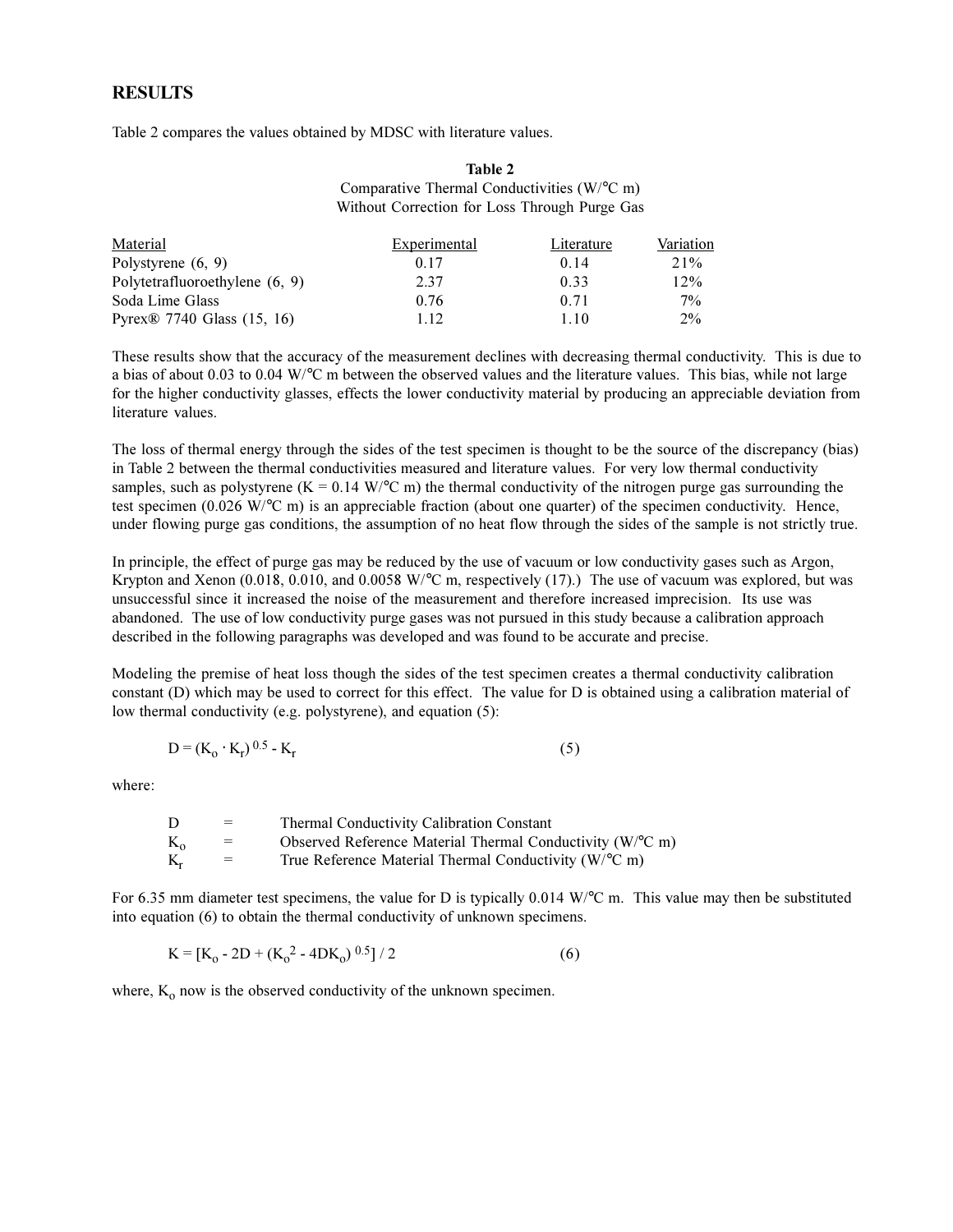#### **RESULTS**

Table 2 compares the values obtained by MDSC with literature values.

#### **Table 2** Comparative Thermal Conductivities (W/°C m) Without Correction for Loss Through Purge Gas

| Material                               | Experimental | Literature | Variation |
|----------------------------------------|--------------|------------|-----------|
| Polystyrene (6, 9)                     | 0.17         | 0.14       | $21\%$    |
| Polytetrafluoroethylene (6, 9)         | 2.37         | 0.33       | 12%       |
| Soda Lime Glass                        | 0.76         | 0.71       | $7\%$     |
| Pyrex <sup>®</sup> 7740 Glass (15, 16) | 1.12         | 1.10       | $2\%$     |

These results show that the accuracy of the measurement declines with decreasing thermal conductivity. This is due to a bias of about 0.03 to 0.04 W/°C m between the observed values and the literature values. This bias, while not large for the higher conductivity glasses, effects the lower conductivity material by producing an appreciable deviation from literature values.

The loss of thermal energy through the sides of the test specimen is thought to be the source of the discrepancy (bias) in Table 2 between the thermal conductivities measured and literature values. For very low thermal conductivity samples, such as polystyrene (K = 0.14 W/ $\degree$ C m) the thermal conductivity of the nitrogen purge gas surrounding the test specimen (0.026 W/°C m) is an appreciable fraction (about one quarter) of the specimen conductivity. Hence, under flowing purge gas conditions, the assumption of no heat flow through the sides of the sample is not strictly true.

In principle, the effect of purge gas may be reduced by the use of vacuum or low conductivity gases such as Argon, Krypton and Xenon (0.018, 0.010, and 0.0058 W/°C m, respectively (17).) The use of vacuum was explored, but was unsuccessful since it increased the noise of the measurement and therefore increased imprecision. Its use was abandoned. The use of low conductivity purge gases was not pursued in this study because a calibration approach described in the following paragraphs was developed and was found to be accurate and precise.

Modeling the premise of heat loss though the sides of the test specimen creates a thermal conductivity calibration constant (D) which may be used to correct for this effect. The value for D is obtained using a calibration material of low thermal conductivity (e.g. polystyrene), and equation (5):

$$
D = (K_0 \cdot K_r)^{0.5} - K_r
$$
 (5)

where:

| D            | $=$ | Thermal Conductivity Calibration Constant                            |
|--------------|-----|----------------------------------------------------------------------|
| $K_{\alpha}$ | $=$ | Observed Reference Material Thermal Conductivity (W/°C m)            |
| $K_r$        | $=$ | True Reference Material Thermal Conductivity ( $W$ <sup>o</sup> C m) |

For 6.35 mm diameter test specimens, the value for D is typically 0.014 W/°C m. This value may then be substituted into equation (6) to obtain the thermal conductivity of unknown specimens.

$$
K = [K_0 - 2D + (K_0^2 - 4DK_0)^{0.5}]/2
$$
 (6)

where,  $K_0$  now is the observed conductivity of the unknown specimen.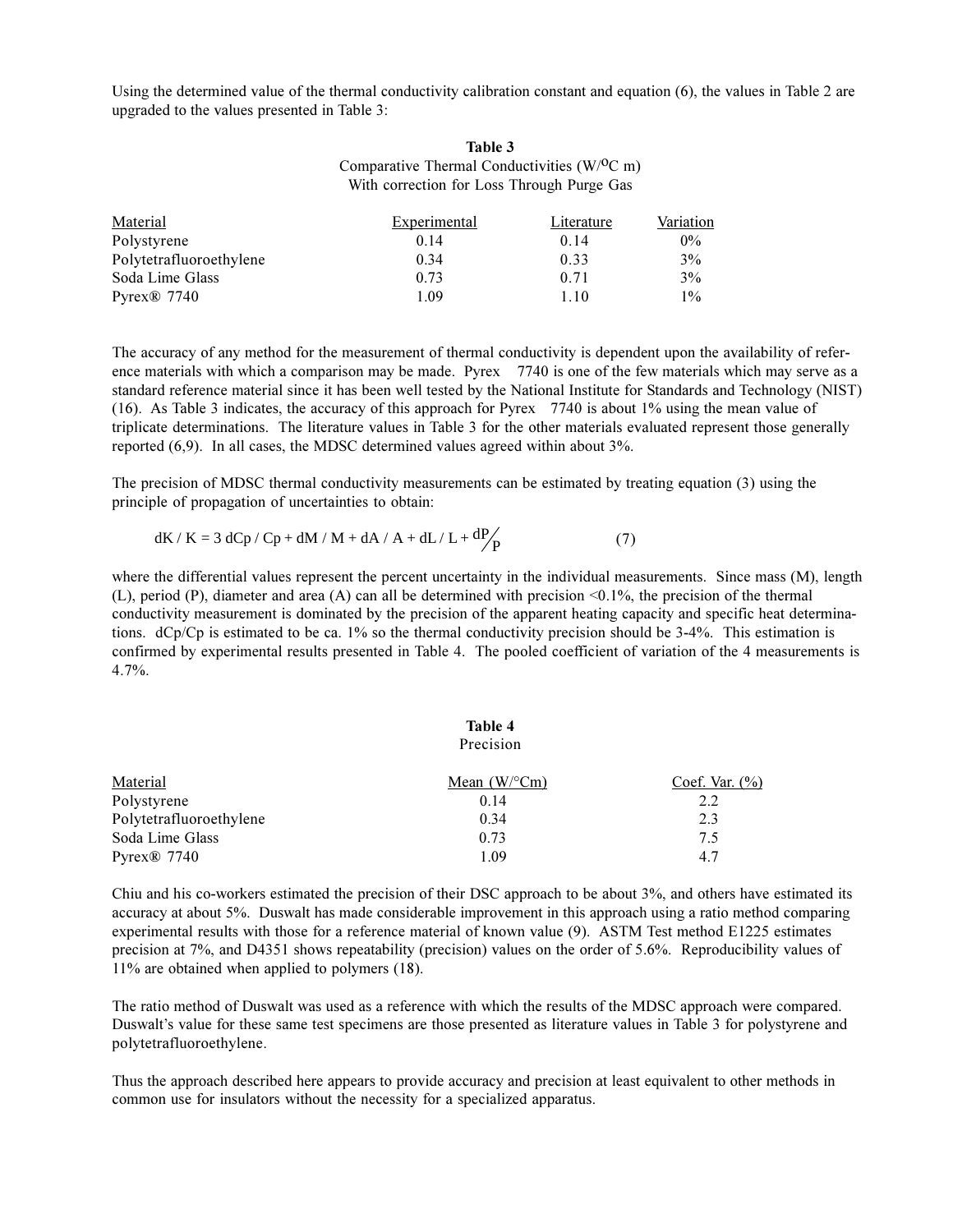Using the determined value of the thermal conductivity calibration constant and equation (6), the values in Table 2 are upgraded to the values presented in Table 3:

#### **Table 3** Comparative Thermal Conductivities  $(W/OC)$  m) With correction for Loss Through Purge Gas

| Material                | Experimental | Literature | Variation |
|-------------------------|--------------|------------|-----------|
| Polystyrene             | 0.14         | 0.14       | $0\%$     |
| Polytetrafluoroethylene | 0.34         | 0.33       | 3%        |
| Soda Lime Glass         | 0.73         | 0.71       | 3%        |
| $Pv$ rex $\otimes$ 7740 | 1.09         | 1.10       | 1%        |

The accuracy of any method for the measurement of thermal conductivity is dependent upon the availability of reference materials with which a comparison may be made. Pyrex ® 7740 is one of the few materials which may serve as a standard reference material since it has been well tested by the National Institute for Standards and Technology (NIST) (16). As Table 3 indicates, the accuracy of this approach for Pyrex® 7740 is about 1% using the mean value of triplicate determinations. The literature values in Table 3 for the other materials evaluated represent those generally reported (6,9). In all cases, the MDSC determined values agreed within about 3%.

The precision of MDSC thermal conductivity measurements can be estimated by treating equation (3) using the principle of propagation of uncertainties to obtain:

$$
dK/K = 3 dCp/Cp + dM/M + dA/A + dL/L + \frac{dP}{P}
$$
 (7)

where the differential values represent the percent uncertainty in the individual measurements. Since mass (M), length (L), period (P), diameter and area (A) can all be determined with precision <0.1%, the precision of the thermal conductivity measurement is dominated by the precision of the apparent heating capacity and specific heat determinations. dCp/Cp is estimated to be ca. 1% so the thermal conductivity precision should be 3-4%. This estimation is confirmed by experimental results presented in Table 4. The pooled coefficient of variation of the 4 measurements is 4.7%.

|                         | Table 4            |                   |
|-------------------------|--------------------|-------------------|
|                         | Precision          |                   |
| Material                | Mean $(W$ /°Cm $)$ | Coef. Var. $(\%)$ |
| Polystyrene             | 0.14               | 2.2               |
| Polytetrafluoroethylene | 0.34               | 2.3               |
| Soda Lime Glass         | 0.73               | 7.5               |
| Pyrex $\otimes$ 7740    | 1.09               | 4.7               |

Chiu and his co-workers estimated the precision of their DSC approach to be about 3%, and others have estimated its accuracy at about 5%. Duswalt has made considerable improvement in this approach using a ratio method comparing experimental results with those for a reference material of known value (9). ASTM Test method E1225 estimates precision at 7%, and D4351 shows repeatability (precision) values on the order of 5.6%. Reproducibility values of 11% are obtained when applied to polymers (18).

The ratio method of Duswalt was used as a reference with which the results of the MDSC approach were compared. Duswalt's value for these same test specimens are those presented as literature values in Table 3 for polystyrene and polytetrafluoroethylene.

Thus the approach described here appears to provide accuracy and precision at least equivalent to other methods in common use for insulators without the necessity for a specialized apparatus.